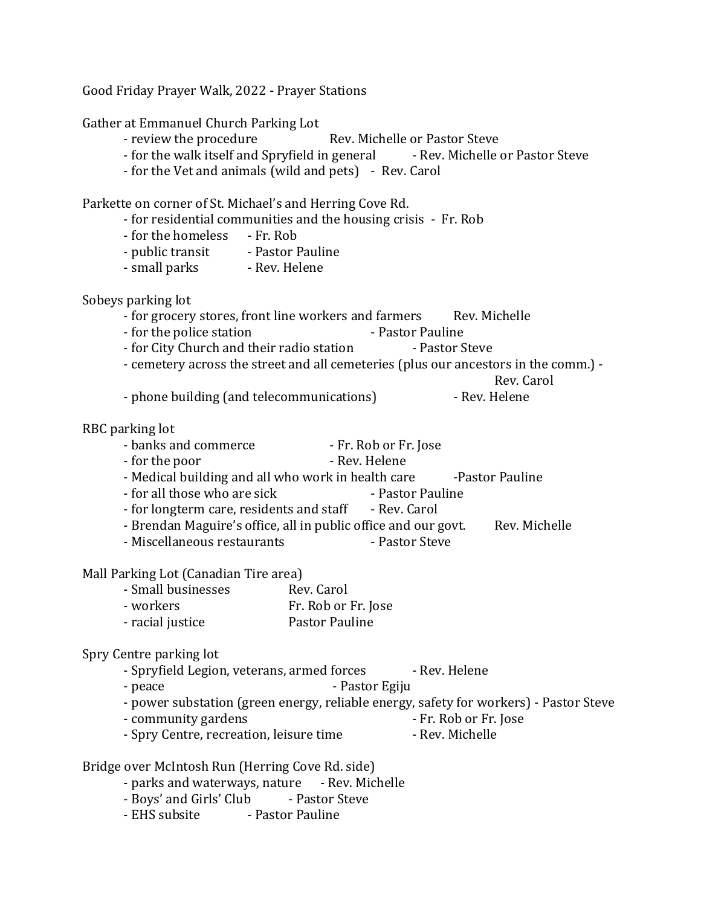Good Friday Prayer Walk, 2022 - Prayer Stations Gather at Emmanuel Church Parking Lot - review the procedure Rev. Michelle or Pastor Steve - for the walk itself and Spryfield in general - Rev. Michelle or Pastor Steve - for the Vet and animals (wild and pets) - Rev. Carol Parkette on corner of St. Michael's and Herring Cove Rd. - for residential communities and the housing crisis - Fr. Rob - for the homeless - Fr. Rob - public transit - Pastor Pauline - small parks - Rev. Helene Sobeys parking lot - for grocery stores, front line workers and farmers Rev. Michelle - for the police station **Fig. 1.1.** Pastor Pauline - for City Church and their radio station - Pastor Steve - cemetery across the street and all cemeteries (plus our ancestors in the comm.) - Rev. Carol - phone building (and telecommunications) - Rev. Helene RBC parking lot - banks and commerce - Fr. Rob or Fr. Jose - for the poor **- Rev. Helene** - Medical building and all who work in health care -Pastor Pauline - for all those who are sick - Pastor Pauline - for longterm care, residents and staff - Rev. Carol - Brendan Maguire's office, all in public office and our govt. Rev. Michelle - Miscellaneous restaurants - Pastor Steve Mall Parking Lot (Canadian Tire area) - Small businesses Rev. Carol - workers Fr. Rob or Fr. Jose - racial justice Pastor Pauline Spry Centre parking lot - Spryfield Legion, veterans, armed forces - Rev. Helene - peace **- Pastor Egiju** - power substation (green energy, reliable energy, safety for workers) - Pastor Steve - community gardens  $-$  Fr. Rob or Fr. Jose - Spry Centre, recreation, leisure time - Rev. Michelle Bridge over McIntosh Run (Herring Cove Rd. side) - parks and waterways, nature - Rev. Michelle - Boys' and Girls' Club - Pastor Steve - EHS subsite - Pastor Pauline